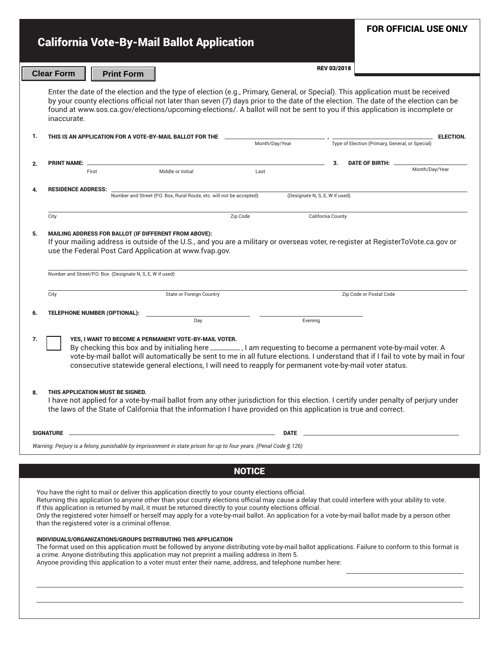|                                                                                                                                                                                                                                                                                                                                                                                                                                                                                                                                                                                                                                                                                                                                                                                                                                                                                                                                                                                                               |                                                                                                                                                                                                                                                                                                                                                                                                                      |                                                           |                                                                      |          |                                |                                                 | <b>FOR OFFICIAL USE ONLY</b> |  |
|---------------------------------------------------------------------------------------------------------------------------------------------------------------------------------------------------------------------------------------------------------------------------------------------------------------------------------------------------------------------------------------------------------------------------------------------------------------------------------------------------------------------------------------------------------------------------------------------------------------------------------------------------------------------------------------------------------------------------------------------------------------------------------------------------------------------------------------------------------------------------------------------------------------------------------------------------------------------------------------------------------------|----------------------------------------------------------------------------------------------------------------------------------------------------------------------------------------------------------------------------------------------------------------------------------------------------------------------------------------------------------------------------------------------------------------------|-----------------------------------------------------------|----------------------------------------------------------------------|----------|--------------------------------|-------------------------------------------------|------------------------------|--|
|                                                                                                                                                                                                                                                                                                                                                                                                                                                                                                                                                                                                                                                                                                                                                                                                                                                                                                                                                                                                               |                                                                                                                                                                                                                                                                                                                                                                                                                      |                                                           | <b>California Vote-By-Mail Ballot Application</b>                    |          |                                |                                                 |                              |  |
|                                                                                                                                                                                                                                                                                                                                                                                                                                                                                                                                                                                                                                                                                                                                                                                                                                                                                                                                                                                                               | <b>Clear Form</b>                                                                                                                                                                                                                                                                                                                                                                                                    | <b>Print Form</b>                                         |                                                                      |          |                                | <b>REV 03/2018</b>                              |                              |  |
|                                                                                                                                                                                                                                                                                                                                                                                                                                                                                                                                                                                                                                                                                                                                                                                                                                                                                                                                                                                                               |                                                                                                                                                                                                                                                                                                                                                                                                                      |                                                           |                                                                      |          |                                |                                                 |                              |  |
|                                                                                                                                                                                                                                                                                                                                                                                                                                                                                                                                                                                                                                                                                                                                                                                                                                                                                                                                                                                                               | Enter the date of the election and the type of election (e.g., Primary, General, or Special). This application must be received<br>by your county elections official not later than seven (7) days prior to the date of the election. The date of the election can be<br>found at www.sos.ca.gov/elections/upcoming-elections/. A ballot will not be sent to you if this application is incomplete or<br>inaccurate. |                                                           |                                                                      |          |                                |                                                 |                              |  |
| 1.                                                                                                                                                                                                                                                                                                                                                                                                                                                                                                                                                                                                                                                                                                                                                                                                                                                                                                                                                                                                            |                                                                                                                                                                                                                                                                                                                                                                                                                      |                                                           | THIS IS AN APPLICATION FOR A VOTE-BY-MAIL BALLOT FOR THE             |          | Month/Day/Year                 | Type of Election (Primary, General, or Special) | <b>ELECTION.</b>             |  |
| 2.                                                                                                                                                                                                                                                                                                                                                                                                                                                                                                                                                                                                                                                                                                                                                                                                                                                                                                                                                                                                            | <b>PRINT NAME:</b>                                                                                                                                                                                                                                                                                                                                                                                                   |                                                           |                                                                      |          |                                | <b>DATE OF BIRTH:</b><br>3.                     |                              |  |
|                                                                                                                                                                                                                                                                                                                                                                                                                                                                                                                                                                                                                                                                                                                                                                                                                                                                                                                                                                                                               |                                                                                                                                                                                                                                                                                                                                                                                                                      | First                                                     | Middle or Initial                                                    | Last     |                                |                                                 | Month/Day/Year               |  |
| 4.                                                                                                                                                                                                                                                                                                                                                                                                                                                                                                                                                                                                                                                                                                                                                                                                                                                                                                                                                                                                            | <b>RESIDENCE ADDRESS:</b>                                                                                                                                                                                                                                                                                                                                                                                            |                                                           | Number and Street (P.O. Box, Rural Route, etc. will not be accepted) |          | (Designate N, S, E, W if used) |                                                 |                              |  |
|                                                                                                                                                                                                                                                                                                                                                                                                                                                                                                                                                                                                                                                                                                                                                                                                                                                                                                                                                                                                               | City                                                                                                                                                                                                                                                                                                                                                                                                                 |                                                           |                                                                      | Zip Code |                                | California County                               |                              |  |
| 5.                                                                                                                                                                                                                                                                                                                                                                                                                                                                                                                                                                                                                                                                                                                                                                                                                                                                                                                                                                                                            | MAILING ADDRESS FOR BALLOT (IF DIFFERENT FROM ABOVE):<br>If your mailing address is outside of the U.S., and you are a military or overseas voter, re-register at RegisterToVote.ca.gov or<br>use the Federal Post Card Application at www.fvap.gov.                                                                                                                                                                 |                                                           |                                                                      |          |                                |                                                 |                              |  |
|                                                                                                                                                                                                                                                                                                                                                                                                                                                                                                                                                                                                                                                                                                                                                                                                                                                                                                                                                                                                               |                                                                                                                                                                                                                                                                                                                                                                                                                      | Number and Street/P.O. Box (Designate N, S, E, W if used) |                                                                      |          |                                |                                                 |                              |  |
|                                                                                                                                                                                                                                                                                                                                                                                                                                                                                                                                                                                                                                                                                                                                                                                                                                                                                                                                                                                                               | City                                                                                                                                                                                                                                                                                                                                                                                                                 |                                                           | <b>State or Foreign Country</b>                                      |          |                                | Zip Code or Postal Code                         |                              |  |
| 6.                                                                                                                                                                                                                                                                                                                                                                                                                                                                                                                                                                                                                                                                                                                                                                                                                                                                                                                                                                                                            |                                                                                                                                                                                                                                                                                                                                                                                                                      | <b>TELEPHONE NUMBER (OPTIONAL):</b>                       | Day                                                                  |          | Evening                        |                                                 |                              |  |
| YES. I WANT TO BECOME A PERMANENT VOTE-BY-MAIL VOTER.<br>7.<br>By checking this box and by initialing here _______, I am requesting to become a permanent vote-by-mail voter. A<br>vote-by-mail ballot will automatically be sent to me in all future elections. I understand that if I fail to vote by mail in four<br>consecutive statewide general elections, I will need to reapply for permanent vote-by-mail voter status.                                                                                                                                                                                                                                                                                                                                                                                                                                                                                                                                                                              |                                                                                                                                                                                                                                                                                                                                                                                                                      |                                                           |                                                                      |          |                                |                                                 |                              |  |
| THIS APPLICATION MUST BE SIGNED.<br>8.<br>I have not applied for a vote-by-mail ballot from any other jurisdiction for this election. I certify under penalty of perjury under<br>the laws of the State of California that the information I have provided on this application is true and correct.                                                                                                                                                                                                                                                                                                                                                                                                                                                                                                                                                                                                                                                                                                           |                                                                                                                                                                                                                                                                                                                                                                                                                      |                                                           |                                                                      |          |                                |                                                 |                              |  |
| $\overline{DATE}$ $\overline{\phantom{AB}$                                                                                                                                                                                                                                                                                                                                                                                                                                                                                                                                                                                                                                                                                                                                                                                                                                                                                                                                                                    |                                                                                                                                                                                                                                                                                                                                                                                                                      |                                                           |                                                                      |          |                                |                                                 |                              |  |
| Warning: Perjury is a felony, punishable by imprisonment in state prison for up to four years. (Penal Code § 126)                                                                                                                                                                                                                                                                                                                                                                                                                                                                                                                                                                                                                                                                                                                                                                                                                                                                                             |                                                                                                                                                                                                                                                                                                                                                                                                                      |                                                           |                                                                      |          |                                |                                                 |                              |  |
| <b>NOTICE</b>                                                                                                                                                                                                                                                                                                                                                                                                                                                                                                                                                                                                                                                                                                                                                                                                                                                                                                                                                                                                 |                                                                                                                                                                                                                                                                                                                                                                                                                      |                                                           |                                                                      |          |                                |                                                 |                              |  |
| You have the right to mail or deliver this application directly to your county elections official.<br>Returning this application to anyone other than your county elections official may cause a delay that could interfere with your ability to vote.<br>If this application is returned by mail, it must be returned directly to your county elections official.<br>Only the registered voter himself or herself may apply for a vote-by-mail ballot. An application for a vote-by-mail ballot made by a person other<br>than the registered voter is a criminal offense.<br>INDIVIDUALS/ORGANIZATIONS/GROUPS DISTRIBUTING THIS APPLICATION<br>The format used on this application must be followed by anyone distributing vote-by-mail ballot applications. Failure to conform to this format is<br>a crime. Anyone distributing this application may not preprint a mailing address in Item 5.<br>Anyone providing this application to a voter must enter their name, address, and telephone number here: |                                                                                                                                                                                                                                                                                                                                                                                                                      |                                                           |                                                                      |          |                                |                                                 |                              |  |
|                                                                                                                                                                                                                                                                                                                                                                                                                                                                                                                                                                                                                                                                                                                                                                                                                                                                                                                                                                                                               |                                                                                                                                                                                                                                                                                                                                                                                                                      |                                                           |                                                                      |          |                                |                                                 |                              |  |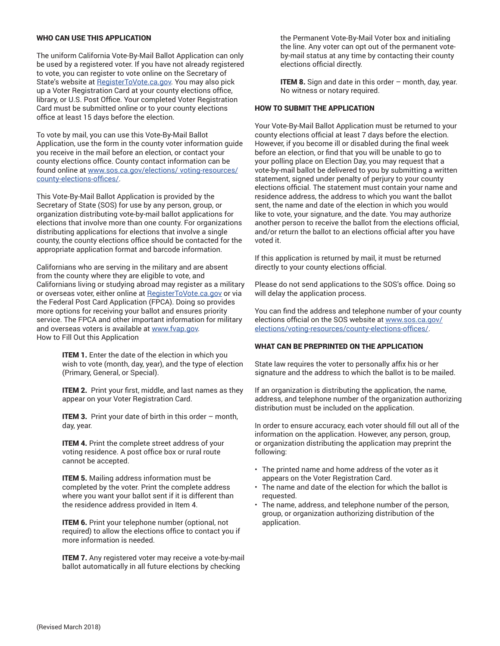## WHO CAN USE THIS APPLICATION

The uniform California Vote-By-Mail Ballot Application can only be used by a registered voter. If you have not already registered to vote, you can register to vote online on the Secretary of State's website at [RegisterToVote.ca.gov](https://registertovote.ca.gov/). You may also pick up a Voter Registration Card at your county elections office, library, or U.S. Post Office. Your completed Voter Registration Card must be submitted online or to your county elections office at least 15 days before the election.

To vote by mail, you can use this Vote-By-Mail Ballot Application, use the form in the county voter information guide you receive in the mail before an election, or contact your county elections office. County contact information can be found online at [www.sos.ca.gov/elections/ voting-resources/](http://www.sos.ca.gov/elections/voting-resources/county-elections-offices/) [county-elections-offices/.](http://www.sos.ca.gov/elections/voting-resources/county-elections-offices/)

This Vote-By-Mail Ballot Application is provided by the Secretary of State (SOS) for use by any person, group, or organization distributing vote-by-mail ballot applications for elections that involve more than one county. For organizations distributing applications for elections that involve a single county, the county elections office should be contacted for the appropriate application format and barcode information.

Californians who are serving in the military and are absent from the county where they are eligible to vote, and Californians living or studying abroad may register as a military or overseas voter, either online at [RegisterToVote.ca.gov](http://RegisterToVote.ca.gov) or via the Federal Post Card Application (FPCA). Doing so provides more options for receiving your ballot and ensures priority service. The FPCA and other important information for military and overseas voters is available at [www.fvap.gov](https://www.fvap.gov/). How to Fill Out this Application

> **ITEM 1.** Enter the date of the election in which you wish to vote (month, day, year), and the type of election (Primary, General, or Special).

> **ITEM 2.** Print your first, middle, and last names as they appear on your Voter Registration Card.

**ITEM 3.** Print your date of birth in this order  $-$  month, day, year.

**ITEM 4.** Print the complete street address of your voting residence. A post office box or rural route cannot be accepted.

**ITEM 5.** Mailing address information must be completed by the voter. Print the complete address where you want your ballot sent if it is different than the residence address provided in Item 4.

**ITEM 6.** Print your telephone number (optional, not required) to allow the elections office to contact you if more information is needed.

**ITEM 7.** Any registered voter may receive a vote-by-mail ballot automatically in all future elections by checking

the Permanent Vote-By-Mail Voter box and initialing the line. Any voter can opt out of the permanent voteby-mail status at any time by contacting their county elections official directly.

**ITEM 8.** Sign and date in this order  $-$  month, day, year. No witness or notary required.

## HOW TO SUBMIT THE APPLICATION

Your Vote-By-Mail Ballot Application must be returned to your county elections official at least 7 days before the election. However, if you become ill or disabled during the final week before an election, or find that you will be unable to go to your polling place on Election Day, you may request that a vote-by-mail ballot be delivered to you by submitting a written statement, signed under penalty of perjury to your county elections official. The statement must contain your name and residence address, the address to which you want the ballot sent, the name and date of the election in which you would like to vote, your signature, and the date. You may authorize another person to receive the ballot from the elections official, and/or return the ballot to an elections official after you have voted it.

If this application is returned by mail, it must be returned directly to your county elections official.

Please do not send applications to the SOS's office. Doing so will delay the application process.

You can find the address and telephone number of your county elections official on the SOS website at [www.sos.ca.gov/](http://www.sos.ca.gov/elections/voting-resources/county-elections-offices/) [elections/voting-resources/county-elections-offices/.](http://www.sos.ca.gov/elections/voting-resources/county-elections-offices/)

## WHAT CAN BE PREPRINTED ON THE APPLICATION

State law requires the voter to personally affix his or her signature and the address to which the ballot is to be mailed.

If an organization is distributing the application, the name, address, and telephone number of the organization authorizing distribution must be included on the application.

In order to ensure accuracy, each voter should fill out all of the information on the application. However, any person, group, or organization distributing the application may preprint the following:

- The printed name and home address of the voter as it appears on the Voter Registration Card.
- The name and date of the election for which the ballot is requested.
- The name, address, and telephone number of the person, group, or organization authorizing distribution of the application.